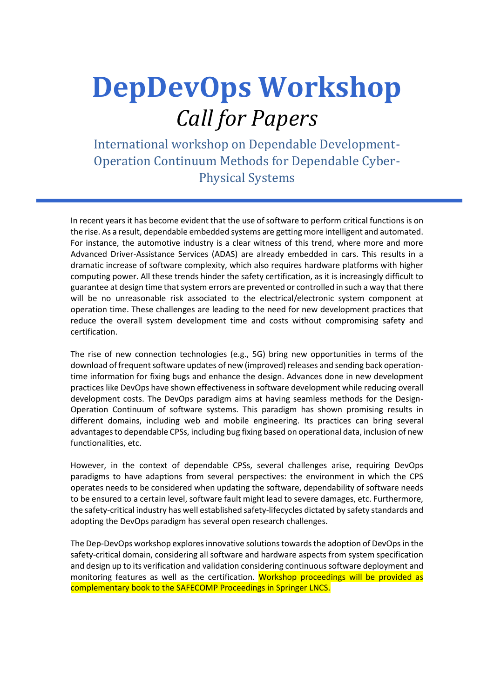# **DepDevOps Workshop**  *Call for Papers*

International workshop on Dependable Development-Operation Continuum Methods for Dependable Cyber-Physical Systems

In recent years it has become evident that the use of software to perform critical functions is on the rise. As a result, dependable embedded systems are getting more intelligent and automated. For instance, the automotive industry is a clear witness of this trend, where more and more Advanced Driver-Assistance Services (ADAS) are already embedded in cars. This results in a dramatic increase of software complexity, which also requires hardware platforms with higher computing power. All these trends hinder the safety certification, as it is increasingly difficult to guarantee at design time that system errors are prevented or controlled in such a way that there will be no unreasonable risk associated to the electrical/electronic system component at operation time. These challenges are leading to the need for new development practices that reduce the overall system development time and costs without compromising safety and certification.

The rise of new connection technologies (e.g., 5G) bring new opportunities in terms of the download of frequent software updates of new (improved) releases and sending back operationtime information for fixing bugs and enhance the design. Advances done in new development practices like DevOps have shown effectiveness in software development while reducing overall development costs. The DevOps paradigm aims at having seamless methods for the Design-Operation Continuum of software systems. This paradigm has shown promising results in different domains, including web and mobile engineering. Its practices can bring several advantages to dependable CPSs, including bug fixing based on operational data, inclusion of new functionalities, etc.

However, in the context of dependable CPSs, several challenges arise, requiring DevOps paradigms to have adaptions from several perspectives: the environment in which the CPS operates needs to be considered when updating the software, dependability of software needs to be ensured to a certain level, software fault might lead to severe damages, etc. Furthermore, the safety-critical industry has well established safety-lifecycles dictated by safety standards and adopting the DevOps paradigm has several open research challenges.

The Dep-DevOps workshop explores innovative solutions towards the adoption of DevOps in the safety-critical domain, considering all software and hardware aspects from system specification and design up to its verification and validation considering continuous software deployment and monitoring features as well as the certification. Workshop proceedings will be provided as complementary book to the SAFECOMP Proceedings in Springer LNCS.